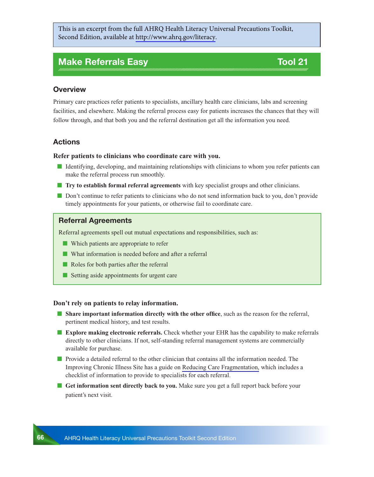This is an excerpt from the full AHRQ Health Literacy Universal Precautions Toolkit, Second Edition, available at [http://www.ahrq.gov/literacy](http://www.ahrq.gov/professionals/quality-patient-safety/quality-resources/tools/literacy-toolkit/index.html).

# **Make Referrals Easy Tool 21**

## **Overview**

Primary care practices refer patients to specialists, ancillary health care clinicians, labs and screening facilities, and elsewhere. Making the referral process easy for patients increases the chances that they will follow through, and that both you and the referral destination get all the information you need.

# **Actions**

#### **Refer patients to clinicians who coordinate care with you.**

- Identifying, developing, and maintaining relationships with clinicians to whom you refer patients can make the referral process run smoothly.
- **The Try to establish formal referral agreements** with key specialist groups and other clinicians.
- Don't continue to refer patients to clinicians who do not send information back to you, don't provide timely appointments for your patients, or otherwise fail to coordinate care.

# **Referral Agreements**

Referral agreements spell out mutual expectations and responsibilities, such as:

- Which patients are appropriate to refer
- What information is needed before and after a referral
- Roles for both parties after the referral
- Setting aside appointments for urgent care

#### **Don't rely on patients to relay information.**

- **Share important information directly with the other office**, such as the reason for the referral, pertinent medical history, and test results.
- **Explore making electronic referrals.** Check whether your EHR has the capability to make referrals directly to other clinicians. If not, self-standing referral management systems are commercially available for purchase.
- Provide a detailed referral to the other clinician that contains all the information needed. The Improving Chronic Illness Site has a guide on [Reducing Care Fragmentation,](http://www.improvingchroniccare.org/index.php?p=Care_Coordination&s=326) which includes a checklist of information to provide to specialists for each referral.
- **Get information sent directly back to you.** Make sure you get a full report back before your patient's next visit.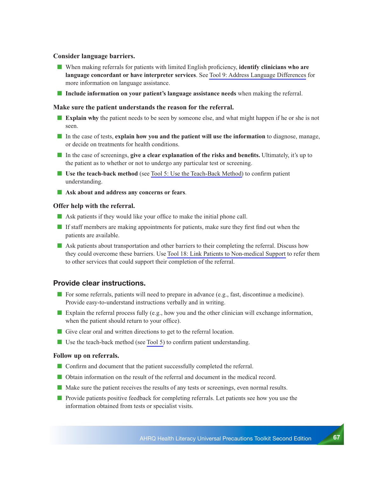### **Consider language barriers.**

- When making referrals for patients with limited English proficiency, **identify clinicians who are language concordant or have interpreter services**. See Tool 9: Address Language Differences for more information on language assistance.
- **Include information on your patient's language assistance needs** when making the referral.

### **Make sure the patient understands the reason for the referral.**

- **Explain why** the patient needs to be seen by someone else, and what might happen if he or she is not seen.
- In the case of tests, **explain how you and the patient will use the information** to diagnose, manage, or decide on treatments for health conditions.
- In the case of screenings, **give a clear explanation of the risks and benefits.** Ultimately, it's up to the patient as to whether or not to undergo any particular test or screening.
- **Use the teach-back method** (see Tool 5: Use the Teach-Back Method) to confirm patient understanding.
- Ask about and address any concerns or fears.

#### **Offer help with the referral.**

- Ask patients if they would like your office to make the initial phone call.
- If staff members are making appointments for patients, make sure they first find out when the patients are available.
- Ask patients about transportation and other barriers to their completing the referral. Discuss how they could overcome these barriers. Use Tool 18: Link Patients to Non-medical Support to refer them to other services that could support their completion of the referral.

# **Provide clear instructions.**

- For some referrals, patients will need to prepare in advance (e.g., fast, discontinue a medicine). Provide easy-to-understand instructions verbally and in writing.
- **Explain the referral process fully (e.g., how you and the other clinician will exchange information,** when the patient should return to your office).
- Give clear oral and written directions to get to the referral location.
- Use the teach-back method (see Tool 5) to confirm patient understanding.

#### **Follow up on referrals.**

- Confirm and document that the patient successfully completed the referral.
- Obtain information on the result of the referral and document in the medical record.
- Make sure the patient receives the results of any tests or screenings, even normal results.
- Provide patients positive feedback for completing referrals. Let patients see how you use the information obtained from tests or specialist visits.